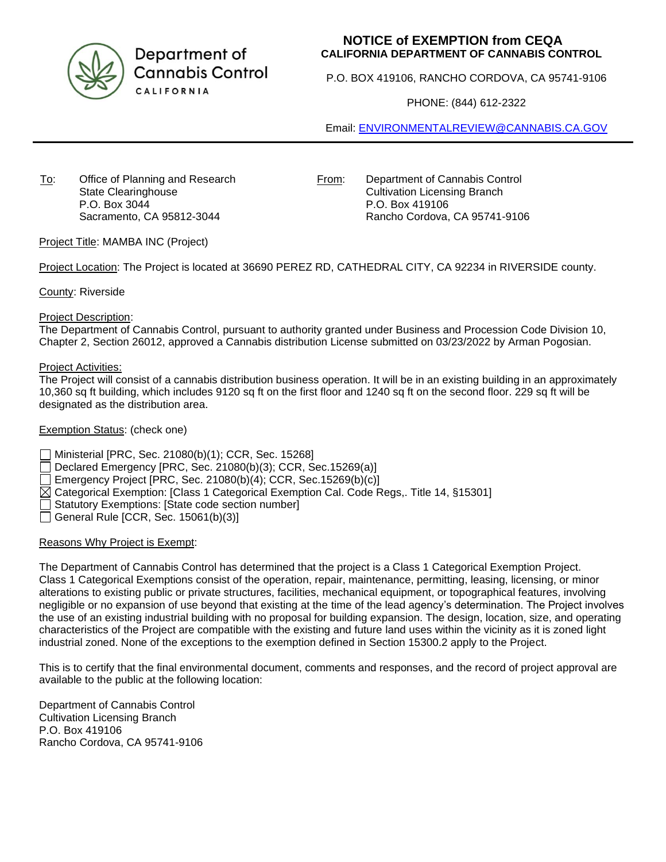

Department of **Cannabis Control** CALIFORNIA

# **NOTICE of EXEMPTION from CEQA CALIFORNIA DEPARTMENT OF CANNABIS CONTROL**

P.O. BOX 419106, RANCHO CORDOVA, CA 95741-9106

PHONE: (844) 612-2322

Email: [ENVIRONMENTALREVIEW@CANNABIS.CA.GOV](mailto:ENVIRONMENTALREVIEW@CANNABIS.CA.GOV)

To: Office of Planning and Research State Clearinghouse P.O. Box 3044 Sacramento, CA 95812-3044

From: Department of Cannabis Control Cultivation Licensing Branch P.O. Box 419106 Rancho Cordova, CA 95741-9106

Project Title: MAMBA INC (Project)

Project Location: The Project is located at 36690 PEREZ RD, CATHEDRAL CITY, CA 92234 in RIVERSIDE county.

County: Riverside

### Project Description:

The Department of Cannabis Control, pursuant to authority granted under Business and Procession Code Division 10, Chapter 2, Section 26012, approved a Cannabis distribution License submitted on 03/23/2022 by Arman Pogosian.

### Project Activities:

The Project will consist of a cannabis distribution business operation. It will be in an existing building in an approximately 10,360 sq ft building, which includes 9120 sq ft on the first floor and 1240 sq ft on the second floor. 229 sq ft will be designated as the distribution area.

### Exemption Status: (check one)

Ministerial [PRC, Sec. 21080(b)(1); CCR, Sec. 15268]

Declared Emergency [PRC, Sec. 21080(b)(3); CCR, Sec.15269(a)]

Emergency Project [PRC, Sec. 21080(b)(4); CCR, Sec.15269(b)(c)]

 $\boxtimes$  Categorical Exemption: [Class 1 Categorical Exemption Cal. Code Regs,. Title 14, §15301]

Statutory Exemptions: [State code section number]

 $\Box$  General Rule [CCR, Sec. 15061(b)(3)]

# Reasons Why Project is Exempt:

The Department of Cannabis Control has determined that the project is a Class 1 Categorical Exemption Project. Class 1 Categorical Exemptions consist of the operation, repair, maintenance, permitting, leasing, licensing, or minor alterations to existing public or private structures, facilities, mechanical equipment, or topographical features, involving negligible or no expansion of use beyond that existing at the time of the lead agency's determination. The Project involves the use of an existing industrial building with no proposal for building expansion. The design, location, size, and operating characteristics of the Project are compatible with the existing and future land uses within the vicinity as it is zoned light industrial zoned. None of the exceptions to the exemption defined in Section 15300.2 apply to the Project.

This is to certify that the final environmental document, comments and responses, and the record of project approval are available to the public at the following location:

Department of Cannabis Control Cultivation Licensing Branch P.O. Box 419106 Rancho Cordova, CA 95741-9106